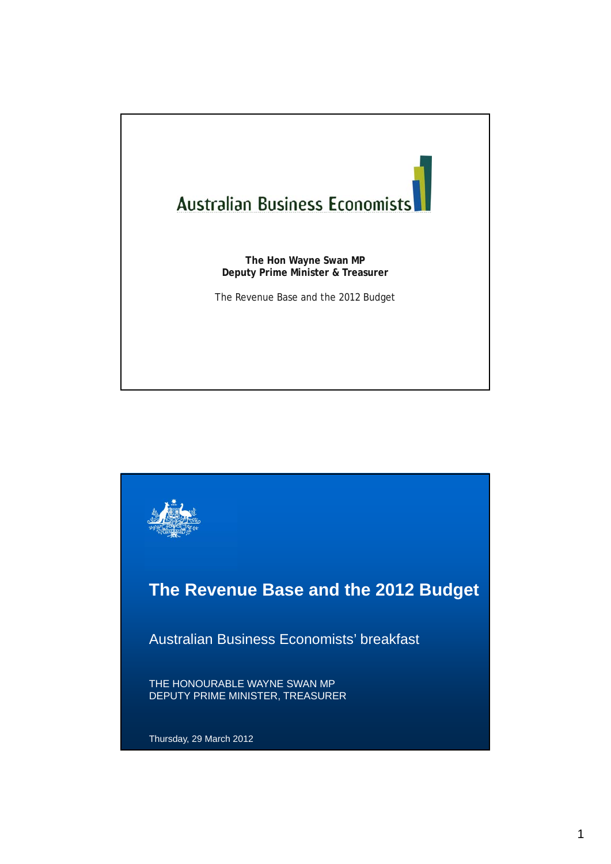

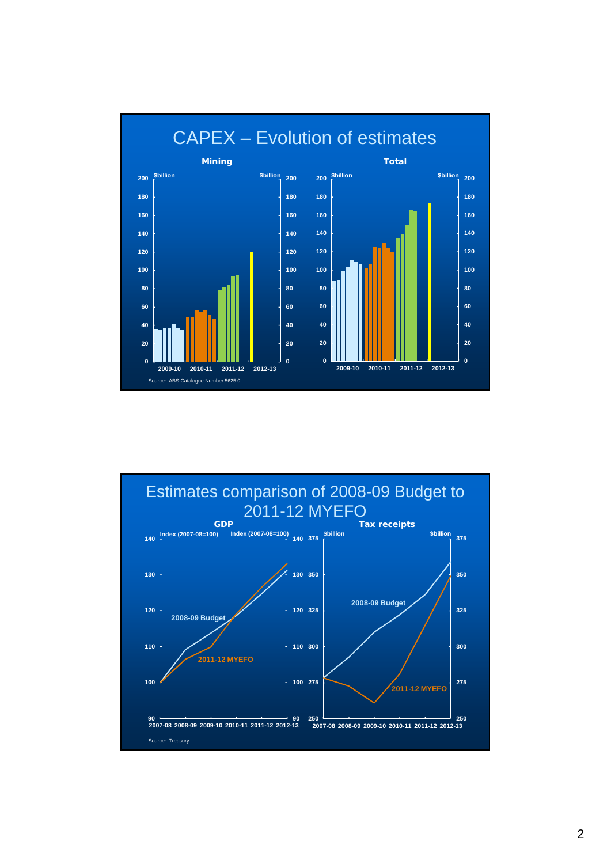

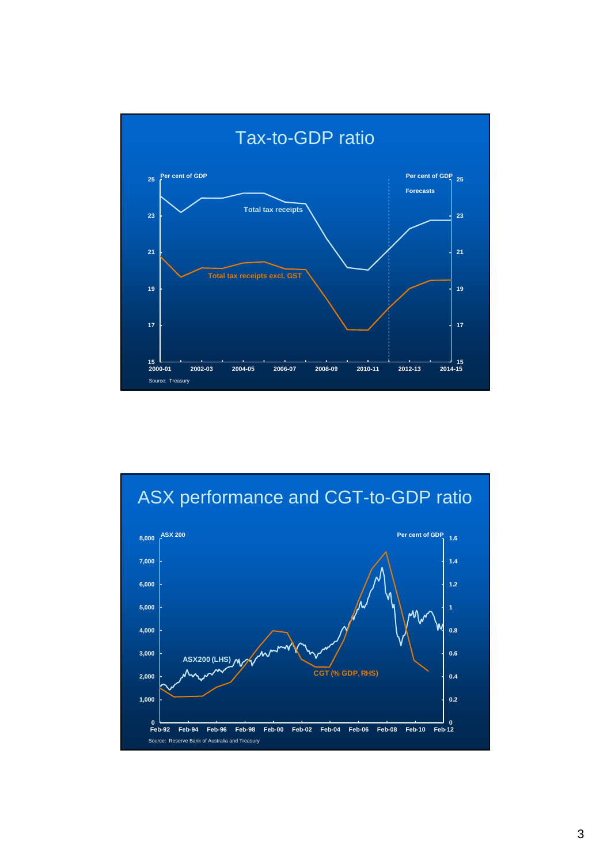

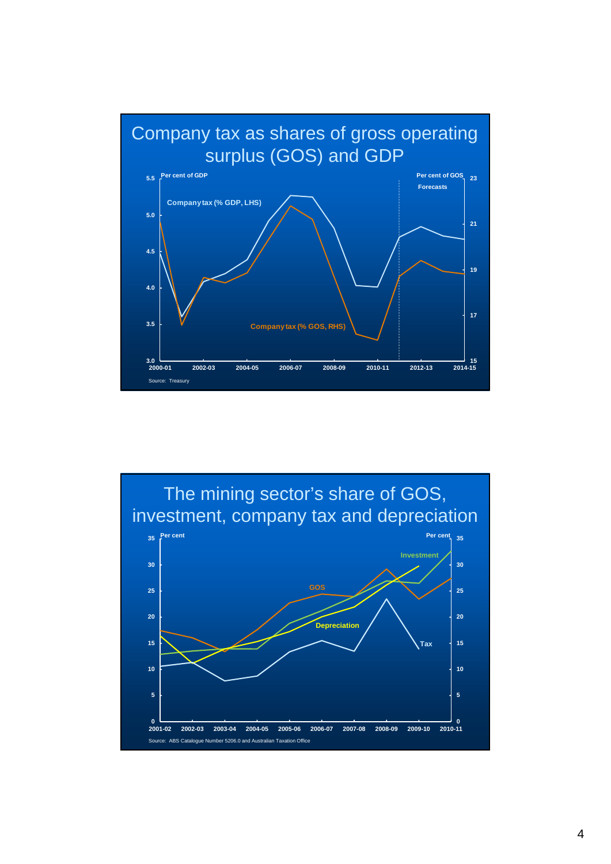